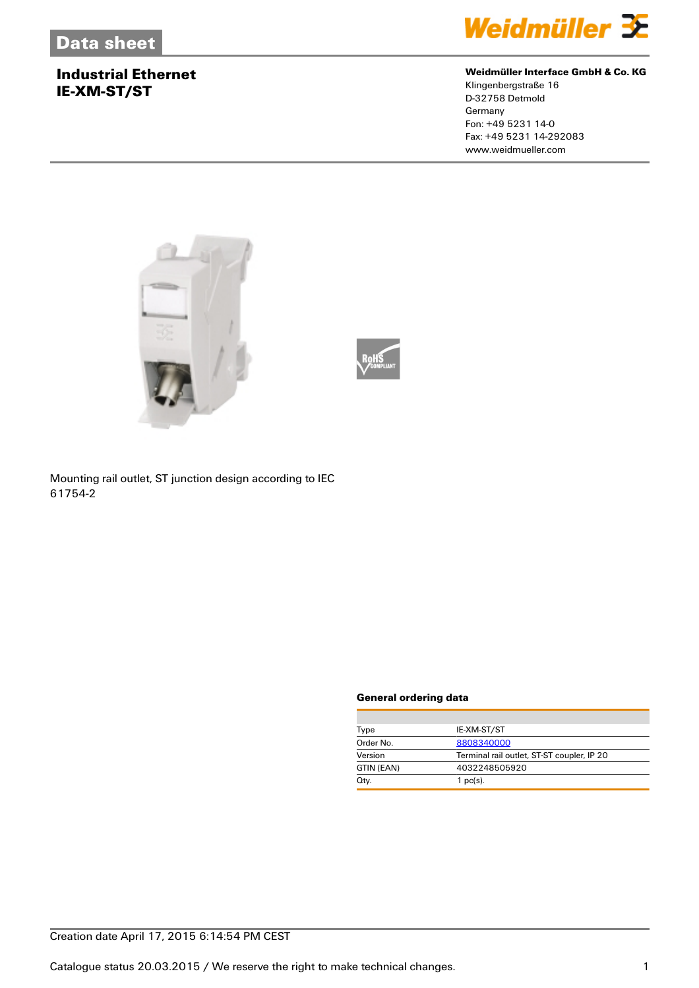## **Industrial Ethernet IE-XM-ST/ST**



#### **Weidmüller Interface GmbH & Co. KG**

Klingenbergstraße 16 D-32758 Detmold Germany Fon: +49 5231 14-0 Fax: +49 5231 14-292083 www.weidmueller.com





Mounting rail outlet, ST junction design according to IEC 61754-2

#### **General ordering data**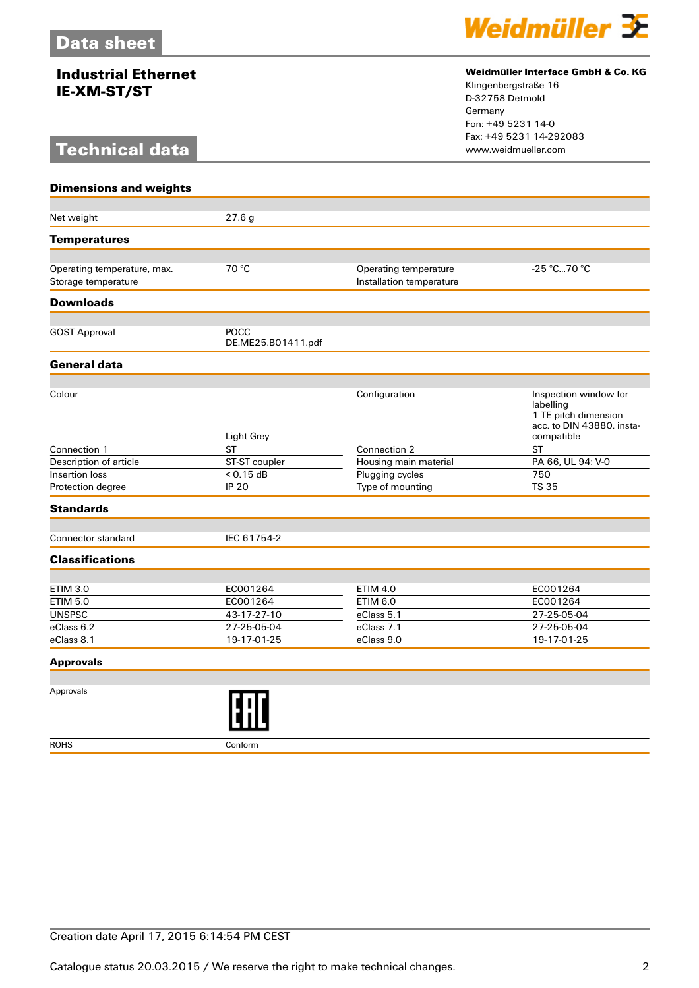## **Industrial Ethernet IE-XM-ST/ST**

# **Technical data**



#### **Weidmüller Interface GmbH & Co. KG**

Klingenbergstraße 16 D-32758 Detmold Germany Fon: +49 5231 14-0 Fax: +49 5231 14-292083

| <b>Dimensions and weights</b> |                                   |                          |                                                                                                       |
|-------------------------------|-----------------------------------|--------------------------|-------------------------------------------------------------------------------------------------------|
|                               |                                   |                          |                                                                                                       |
| Net weight                    | 27.6 <sub>g</sub>                 |                          |                                                                                                       |
| <b>Temperatures</b>           |                                   |                          |                                                                                                       |
|                               |                                   |                          |                                                                                                       |
| Operating temperature, max.   | 70 °C                             | Operating temperature    | -25 °C70 °C                                                                                           |
| Storage temperature           |                                   | Installation temperature |                                                                                                       |
| <b>Downloads</b>              |                                   |                          |                                                                                                       |
|                               |                                   |                          |                                                                                                       |
| <b>GOST Approval</b>          | <b>POCC</b><br>DE.ME25.B01411.pdf |                          |                                                                                                       |
| General data                  |                                   |                          |                                                                                                       |
|                               |                                   |                          |                                                                                                       |
| Colour                        | Light Grey                        | Configuration            | Inspection window for<br>labelling<br>1 TE pitch dimension<br>acc. to DIN 43880. insta-<br>compatible |
| Connection 1                  | <b>ST</b>                         | Connection 2             | <b>ST</b>                                                                                             |
| Description of article        | ST-ST coupler                     | Housing main material    | PA 66, UL 94: V-0                                                                                     |
| Insertion loss                | $< 0.15$ dB                       | Plugging cycles          | 750                                                                                                   |
| Protection degree             | <b>IP 20</b>                      | Type of mounting         | <b>TS 35</b>                                                                                          |
| <b>Standards</b>              |                                   |                          |                                                                                                       |
| <b>Connector standard</b>     | IEC 61754-2                       |                          |                                                                                                       |
| <b>Classifications</b>        |                                   |                          |                                                                                                       |
|                               |                                   |                          |                                                                                                       |
| <b>ETIM 3.0</b>               | EC001264                          | <b>ETIM 4.0</b>          | EC001264                                                                                              |
| <b>ETIM 5.0</b>               | EC001264                          | <b>ETIM 6.0</b>          | EC001264                                                                                              |
| <b>UNSPSC</b>                 | 43-17-27-10                       | eClass 5.1               | 27-25-05-04                                                                                           |
| eClass 6.2                    | 27-25-05-04                       | eClass 7.1               | 27-25-05-04                                                                                           |
| eClass 8.1                    | 19-17-01-25                       | eClass 9.0               | 19-17-01-25                                                                                           |
| <b>Approvals</b>              |                                   |                          |                                                                                                       |
|                               |                                   |                          |                                                                                                       |

Approvals



ROHS Conform